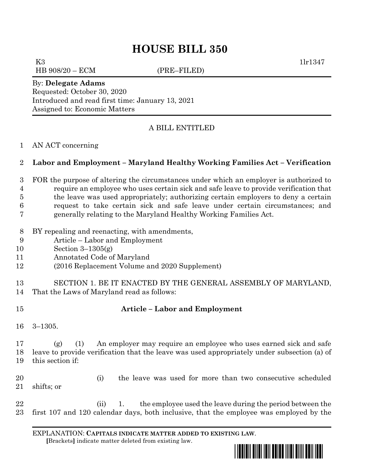# **HOUSE BILL 350**

K3  $11r1347$ HB 908/20 – ECM (PRE–FILED)

By: **Delegate Adams** Requested: October 30, 2020 Introduced and read first time: January 13, 2021 Assigned to: Economic Matters

### A BILL ENTITLED

#### AN ACT concerning

#### **Labor and Employment – Maryland Healthy Working Families Act – Verification**

- FOR the purpose of altering the circumstances under which an employer is authorized to require an employee who uses certain sick and safe leave to provide verification that
- the leave was used appropriately; authorizing certain employers to deny a certain
- request to take certain sick and safe leave under certain circumstances; and
- generally relating to the Maryland Healthy Working Families Act.
- BY repealing and reenacting, with amendments,
- Article Labor and Employment
- Section 3–1305(g)
- Annotated Code of Maryland
- (2016 Replacement Volume and 2020 Supplement)
- SECTION 1. BE IT ENACTED BY THE GENERAL ASSEMBLY OF MARYLAND, That the Laws of Maryland read as follows:
- 

## **Article – Labor and Employment**

3–1305.

 (g) (1) An employer may require an employee who uses earned sick and safe leave to provide verification that the leave was used appropriately under subsection (a) of this section if:

- (i) the leave was used for more than two consecutive scheduled shifts; or
- 22 (ii) 1. the employee used the leave during the period between the first 107 and 120 calendar days, both inclusive, that the employee was employed by the

EXPLANATION: **CAPITALS INDICATE MATTER ADDED TO EXISTING LAW**.  **[**Brackets**]** indicate matter deleted from existing law.